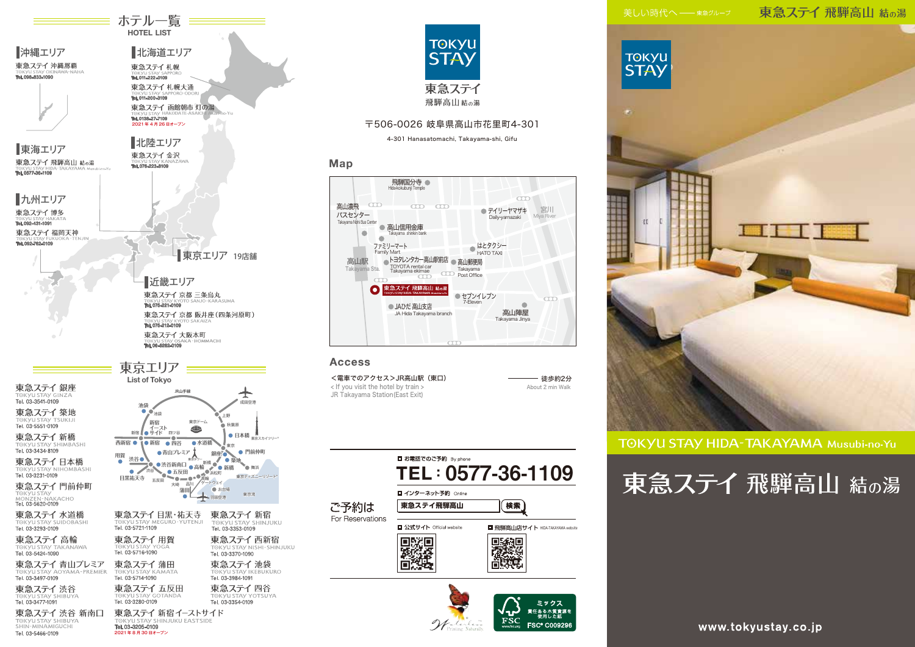### 東急ステイ 飛騨高山 結の湯



TOKYU STAY HIDA-TAKAYAMA Musubi-no-Yu

# 東急ステイ 飛騨高山 結の湯



北陸エリア

東急ステイ金沢

2021 年 4 月 26 日オープン

**函館朝市 灯の湯**

**HAKODATE-ASAICHI Akari-no-Yu**

Tel. 011-200-3109

Tel. 011-222-0109

東急ステイ札幌

Tel. 0138-27-7109

北海道エリア

東急ステイ札幌大通

≡ ホテル一覧 ≡≡ HOTEL LIST

| TOKYU STAY GOTANDA<br>Tel. 03-3280-0109         | TOKYU STAY YO<br>Tel. 03-3354-0109 |
|-------------------------------------------------|------------------------------------|
| 東急ステイ 新宿イーストサイド<br>TOKYU STAY SHINJUKU EASTSIDE |                                    |
| Tel. 03-3205-0109<br>2021 年8月30日オープン            |                                    |



### 〒506-0026 岐阜県高山市花里町4-301

4-301 Hanasatomachi, Takayama-shi, Gifu

### Map



### **Access**

<電車でのアクセス>JR高山駅 (東口) キング マンスコン インスタング (また) こうしょう < If you visit the hotel by train > JR Takayama Station(East Exit)

About 2 min Walk





www.tokyustay.co.jp

TOKYU STAY<br>MONZEN-NAKACHO<br>**Tel. 03-5620-0109** 

東海エリア

沖縄エリア

東急ステイ 沖縄那覇

Tel. 098-833-1090

TOKYU STAY SUIDOBASHI<br>Tel. 03-3293-0109

東急ステイ高輪 TOKYU STAY TA

東急ステイ 青山プレミア TOKVIJ STAV AOYAMA - PREMIER Tel. 03-3497-0109

東急ステイ渋谷

### ⊤ت ۱۳۸۶ تا ۱۳۸۶<br>Tel. 03-3477-1091 東急ステイ 渋谷 新南口

TOKYU STAY SHIBUYA Tel. 03-5466-0109